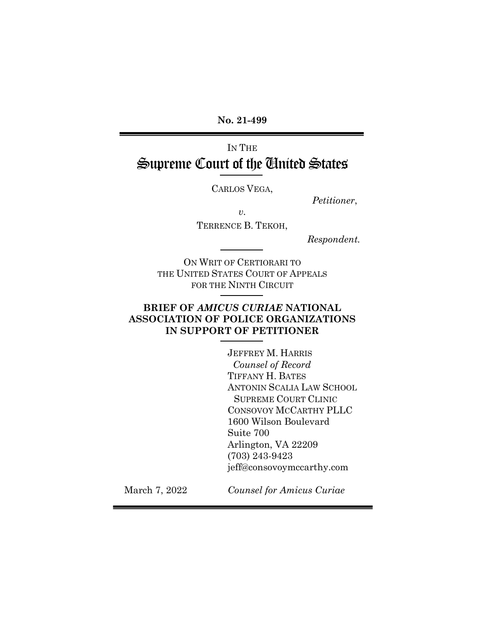**No. 21-499**

# IN THE Supreme Court of the United States

CARLOS VEGA,

*Petitioner*,

*v.* 

TERRENCE B. TEKOH,

 *Respondent.*

ON WRIT OF CERTIORARI TO THE UNITED STATES COURT OF APPEALS FOR THE NINTH CIRCUIT

### **BRIEF OF** *AMICUS CURIAE* **NATIONAL ASSOCIATION OF POLICE ORGANIZATIONS IN SUPPORT OF PETITIONER**

JEFFREY M. HARRIS *Counsel of Record* TIFFANY H. BATES ANTONIN SCALIA LAW SCHOOL SUPREME COURT CLINIC CONSOVOY MCCARTHY PLLC 1600 Wilson Boulevard Suite 700 Arlington, VA 22209 (703) 243-9423 jeff@consovoymccarthy.com

March 7, 2022

*Counsel for Amicus Curiae*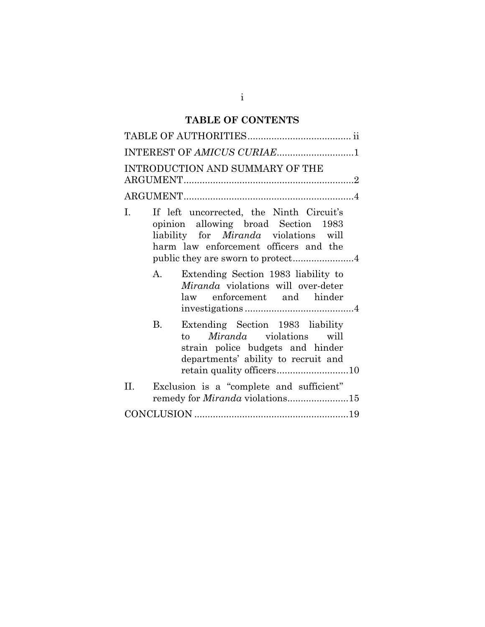## **TABLE OF CONTENTS**

| INTEREST OF AMICUS CURIAE1                                                                                                                                                     |
|--------------------------------------------------------------------------------------------------------------------------------------------------------------------------------|
| INTRODUCTION AND SUMMARY OF THE                                                                                                                                                |
|                                                                                                                                                                                |
| L.<br>If left uncorrected, the Ninth Circuit's<br>opinion allowing broad Section 1983<br>liability for <i>Miranda</i> violations will<br>harm law enforcement officers and the |
| Extending Section 1983 liability to<br>A.<br>Miranda violations will over-deter<br>law enforcement and hinder                                                                  |
| Extending Section 1983 liability<br>В.<br><i>Miranda</i> violations will<br>to<br>strain police budgets and hinder<br>departments' ability to recruit and                      |
| Exclusion is a "complete and sufficient"<br>II.<br>remedy for <i>Miranda</i> violations15                                                                                      |
|                                                                                                                                                                                |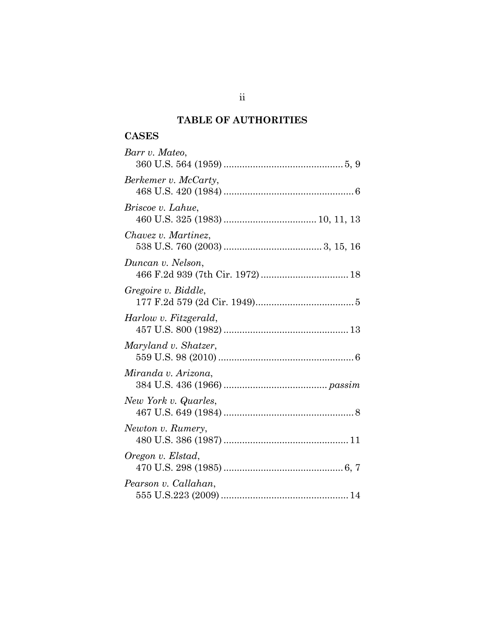## **TABLE OF AUTHORITIES**

### **CASES**

| Barr v. Mateo,        |
|-----------------------|
| Berkemer v. McCarty,  |
| Briscoe v. Lahue,     |
| Chavez v. Martinez,   |
| Duncan v. Nelson,     |
| Gregoire v. Biddle,   |
| Harlow v. Fitzgerald, |
| Maryland v. Shatzer,  |
| Miranda v. Arizona,   |
| New York v. Quarles,  |
| Newton v. Rumery,     |
| Oregon v. Elstad,     |
| Pearson v. Callahan,  |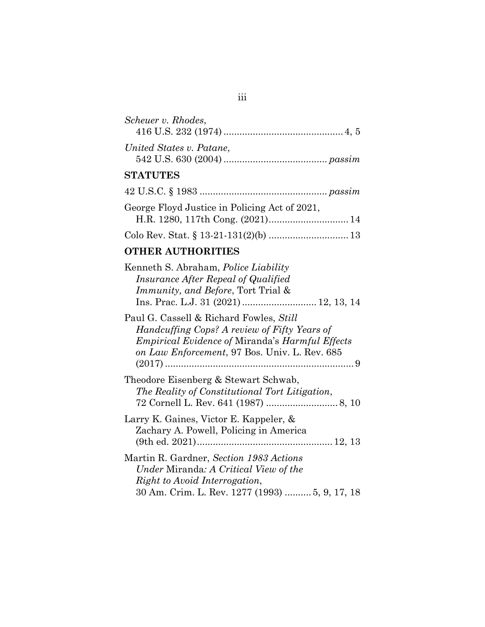| Scheuer v. Rhodes,                                                                                                                                                                                                            |  |
|-------------------------------------------------------------------------------------------------------------------------------------------------------------------------------------------------------------------------------|--|
| United States v. Patane,                                                                                                                                                                                                      |  |
| <b>STATUTES</b>                                                                                                                                                                                                               |  |
|                                                                                                                                                                                                                               |  |
| George Floyd Justice in Policing Act of 2021,                                                                                                                                                                                 |  |
|                                                                                                                                                                                                                               |  |
| $T$ , $T$ , $T$ , $T$ , $T$ , $T$ , $T$ , $T$ , $T$ , $T$ , $T$ , $T$ , $T$ , $T$ , $T$ , $T$ , $T$ , $T$ , $T$ , $T$ , $T$ , $T$ , $T$ , $T$ , $T$ , $T$ , $T$ , $T$ , $T$ , $T$ , $T$ , $T$ , $T$ , $T$ , $T$ , $T$ , $T$ , |  |

#### **OTHER AUTHORITIES**

| Kenneth S. Abraham, <i>Police Liability</i><br><i>Insurance After Repeal of Qualified</i><br><i>Immunity, and Before, Tort Trial &amp;</i>                                                         |
|----------------------------------------------------------------------------------------------------------------------------------------------------------------------------------------------------|
| Paul G. Cassell & Richard Fowles, Still<br>Handcuffing Cops? A review of Fifty Years of<br><i>Empirical Evidence of Miranda's Harmful Effects</i><br>on Law Enforcement, 97 Bos. Univ. L. Rev. 685 |
| Theodore Eisenberg & Stewart Schwab,<br>The Reality of Constitutional Tort Litigation,                                                                                                             |
| Larry K. Gaines, Victor E. Kappeler, &<br>Zachary A. Powell, Policing in America                                                                                                                   |
| Martin R. Gardner, Section 1983 Actions<br>Under Miranda: A Critical View of the<br>Right to Avoid Interrogation,<br>30 Am. Crim. L. Rev. 1277 (1993)  5, 9, 17, 18                                |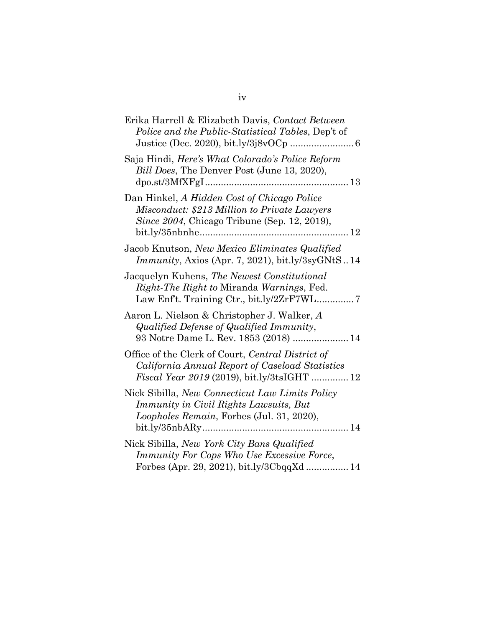| Erika Harrell & Elizabeth Davis, Contact Between<br>Police and the Public-Statistical Tables, Dep't of                                                     |
|------------------------------------------------------------------------------------------------------------------------------------------------------------|
| Saja Hindi, Here's What Colorado's Police Reform<br>Bill Does, The Denver Post (June 13, 2020),                                                            |
| Dan Hinkel, A Hidden Cost of Chicago Police<br>Misconduct: \$213 Million to Private Lawyers<br>Since 2004, Chicago Tribune (Sep. 12, 2019),<br>$\ldots$ 12 |
| Jacob Knutson, New Mexico Eliminates Qualified<br><i>Immunity</i> , Axios (Apr. 7, 2021), bit.ly/3syGNtS14                                                 |
| Jacquelyn Kuhens, The Newest Constitutional<br>Right-The Right to Miranda Warnings, Fed.                                                                   |
| Aaron L. Nielson & Christopher J. Walker, A<br>Qualified Defense of Qualified Immunity,<br>93 Notre Dame L. Rev. 1853 (2018)  14                           |
| Office of the Clerk of Court, Central District of<br>California Annual Report of Caseload Statistics<br>Fiscal Year 2019 (2019), bit.ly/3tsIGHT  12        |
| Nick Sibilla, New Connecticut Law Limits Policy<br>Immunity in Civil Rights Lawsuits, But<br>Loopholes Remain, Forbes (Jul. 31, 2020),                     |
| Nick Sibilla, New York City Bans Qualified<br>Immunity For Cops Who Use Excessive Force,<br>Forbes (Apr. 29, 2021), bit.ly/3CbqqXd  14                     |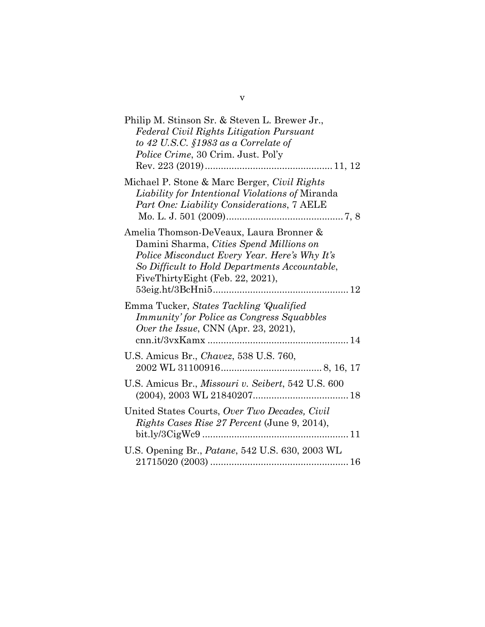| Philip M. Stinson Sr. & Steven L. Brewer Jr.,<br><b>Federal Civil Rights Litigation Pursuant</b><br>to 42 U.S.C. $$1983$ as a Correlate of<br><i>Police Crime, 30 Crim. Just. Pol'y</i>                                  |
|--------------------------------------------------------------------------------------------------------------------------------------------------------------------------------------------------------------------------|
| Michael P. Stone & Marc Berger, Civil Rights<br>Liability for Intentional Violations of Miranda<br>Part One: Liability Considerations, 7 AELE                                                                            |
| Amelia Thomson-DeVeaux, Laura Bronner &<br>Damini Sharma, Cities Spend Millions on<br>Police Misconduct Every Year. Here's Why It's<br>So Difficult to Hold Departments Accountable,<br>FiveThirtyEight (Feb. 22, 2021), |
| Emma Tucker, States Tackling Qualified<br><b>Immunity' for Police as Congress Squabbles</b><br>Over the Issue, CNN (Apr. 23, 2021),                                                                                      |
| U.S. Amicus Br., Chavez, 538 U.S. 760,                                                                                                                                                                                   |
| U.S. Amicus Br., Missouri v. Seibert, 542 U.S. 600                                                                                                                                                                       |
| United States Courts, Over Two Decades, Civil<br>Rights Cases Rise 27 Percent (June 9, 2014),                                                                                                                            |
| U.S. Opening Br., Patane, 542 U.S. 630, 2003 WL                                                                                                                                                                          |

v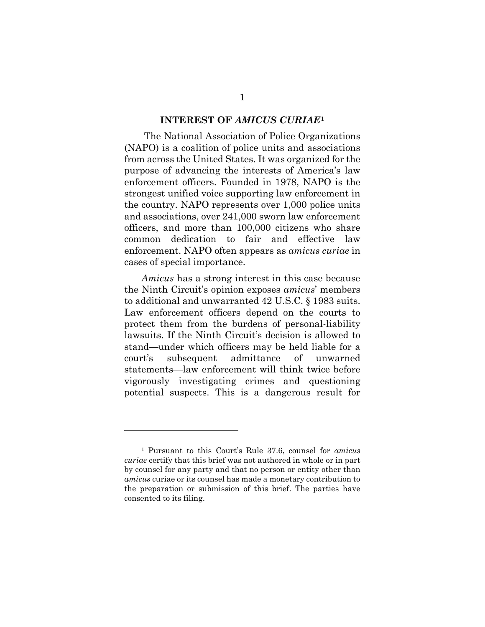#### **INTEREST OF** *AMICUS CURIAE***[1](#page-6-0)**

The National Association of Police Organizations (NAPO) is a coalition of police units and associations from across the United States. It was organized for the purpose of advancing the interests of America's law enforcement officers. Founded in 1978, NAPO is the strongest unified voice supporting law enforcement in the country. NAPO represents over 1,000 police units and associations, over 241,000 sworn law enforcement officers, and more than 100,000 citizens who share common dedication to fair and effective law enforcement. NAPO often appears as *amicus curiae* in cases of special importance.

*Amicus* has a strong interest in this case because the Ninth Circuit's opinion exposes *amicus*' members to additional and unwarranted 42 U.S.C. § 1983 suits. Law enforcement officers depend on the courts to protect them from the burdens of personal-liability lawsuits. If the Ninth Circuit's decision is allowed to stand—under which officers may be held liable for a court's subsequent admittance of unwarned statements—law enforcement will think twice before vigorously investigating crimes and questioning potential suspects. This is a dangerous result for

<span id="page-6-0"></span><sup>1</sup> Pursuant to this Court's Rule 37.6, counsel for *amicus curiae* certify that this brief was not authored in whole or in part by counsel for any party and that no person or entity other than *amicus* curiae or its counsel has made a monetary contribution to the preparation or submission of this brief. The parties have consented to its filing.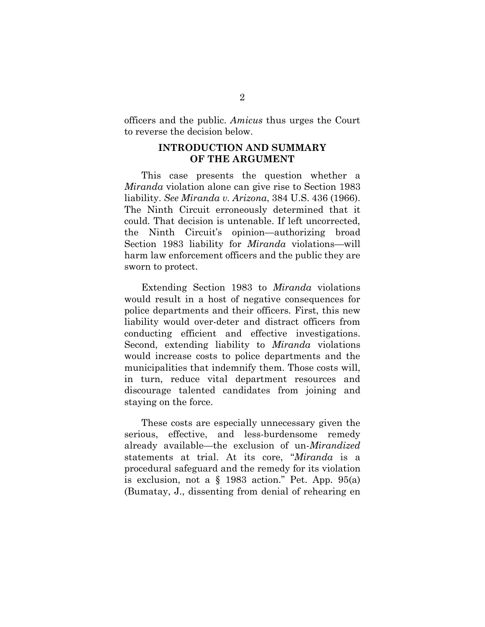officers and the public. *Amicus* thus urges the Court to reverse the decision below.

#### **INTRODUCTION AND SUMMARY OF THE ARGUMENT**

This case presents the question whether a *Miranda* violation alone can give rise to Section 1983 liability. *See Miranda v. Arizona*, 384 U.S. 436 (1966). The Ninth Circuit erroneously determined that it could. That decision is untenable. If left uncorrected, the Ninth Circuit's opinion—authorizing broad Section 1983 liability for *Miranda* violations—will harm law enforcement officers and the public they are sworn to protect.

Extending Section 1983 to *Miranda* violations would result in a host of negative consequences for police departments and their officers. First, this new liability would over-deter and distract officers from conducting efficient and effective investigations. Second, extending liability to *Miranda* violations would increase costs to police departments and the municipalities that indemnify them. Those costs will, in turn, reduce vital department resources and discourage talented candidates from joining and staying on the force.

These costs are especially unnecessary given the serious, effective, and less-burdensome remedy already available—the exclusion of un-*Mirandized*  statements at trial. At its core, "*Miranda* is a procedural safeguard and the remedy for its violation is exclusion, not a  $\S$  1983 action." Pet. App. 95(a) (Bumatay, J., dissenting from denial of rehearing en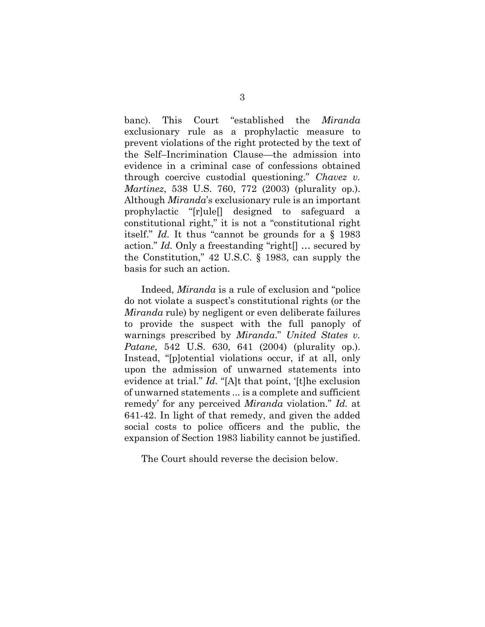banc). This Court "established the *Miranda* exclusionary rule as a prophylactic measure to prevent violations of the right protected by the text of the Self–Incrimination Clause—the admission into evidence in a criminal case of confessions obtained through coercive custodial questioning." *Chavez v. Martinez*, 538 U.S. 760, 772 (2003) (plurality op.). Although *Miranda*'s exclusionary rule is an important prophylactic "[r]ule[] designed to safeguard a constitutional right," it is not a "constitutional right itself." *Id.* It thus "cannot be grounds for a § 1983 action." *Id.* Only a freestanding "right[] … secured by the Constitution," 42 U.S.C. § 1983, can supply the basis for such an action.

Indeed, *Miranda* is a rule of exclusion and "police do not violate a suspect's constitutional rights (or the *Miranda* rule) by negligent or even deliberate failures to provide the suspect with the full panoply of warnings prescribed by *Miranda*." *United States v. Patane*, 542 U.S. 630, 641 (2004) (plurality op.). Instead, "[p]otential violations occur, if at all, only upon the admission of unwarned statements into evidence at trial." *Id.* "[A]t that point, '[t]he exclusion of unwarned statements ... is a complete and sufficient remedy' for any perceived *Miranda* violation." *Id.* at 641-42. In light of that remedy, and given the added social costs to police officers and the public, the expansion of Section 1983 liability cannot be justified.

The Court should reverse the decision below.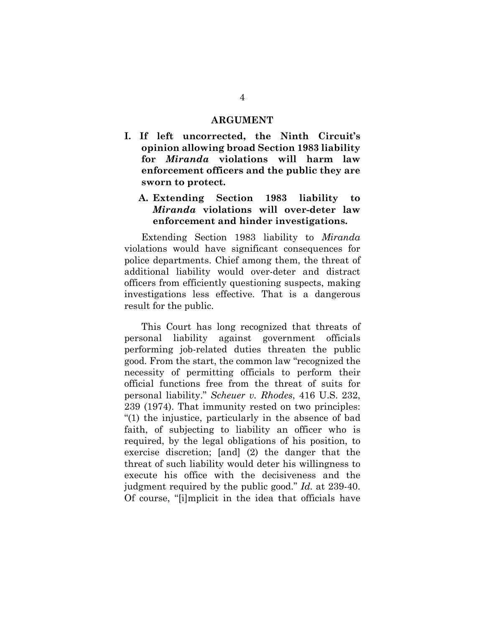#### **ARGUMENT**

**I. If left uncorrected, the Ninth Circuit's opinion allowing broad Section 1983 liability for** *Miranda* **violations will harm law enforcement officers and the public they are sworn to protect.**

#### **A. Extending Section 1983 liability to**  *Miranda* **violations will over-deter law enforcement and hinder investigations.**

Extending Section 1983 liability to *Miranda*  violations would have significant consequences for police departments. Chief among them, the threat of additional liability would over-deter and distract officers from efficiently questioning suspects, making investigations less effective. That is a dangerous result for the public.

This Court has long recognized that threats of personal liability against government officials performing job-related duties threaten the public good. From the start, the common law "recognized the necessity of permitting officials to perform their official functions free from the threat of suits for personal liability." *Scheuer v. Rhodes*, 416 U.S. 232, 239 (1974). That immunity rested on two principles: "(1) the injustice, particularly in the absence of bad faith, of subjecting to liability an officer who is required, by the legal obligations of his position, to exercise discretion; [and] (2) the danger that the threat of such liability would deter his willingness to execute his office with the decisiveness and the judgment required by the public good." *Id.* at 239-40. Of course, "[i]mplicit in the idea that officials have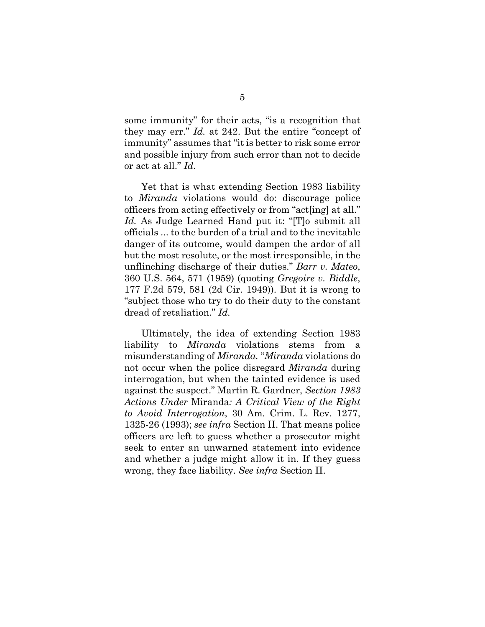some immunity" for their acts, "is a recognition that they may err." *Id.* at 242. But the entire "concept of immunity" assumes that "it is better to risk some error and possible injury from such error than not to decide or act at all." *Id.*

Yet that is what extending Section 1983 liability to *Miranda* violations would do: discourage police officers from acting effectively or from "act[ing] at all." *Id.* As Judge Learned Hand put it: "[T]o submit all officials ... to the burden of a trial and to the inevitable danger of its outcome, would dampen the ardor of all but the most resolute, or the most irresponsible, in the unflinching discharge of their duties." *Barr v. Mateo*, 360 U.S. 564, 571 (1959) (quoting *Gregoire v. Biddle*, 177 F.2d 579, 581 (2d Cir. 1949)). But it is wrong to "subject those who try to do their duty to the constant dread of retaliation." *Id.*

Ultimately, the idea of extending Section 1983 liability to *Miranda* violations stems from a misunderstanding of *Miranda.* "*Miranda* violations do not occur when the police disregard *Miranda* during interrogation, but when the tainted evidence is used against the suspect." Martin R. Gardner, *Section 1983 Actions Under* Miranda*: A Critical View of the Right to Avoid Interrogation*, 30 Am. Crim. L. Rev. 1277, 1325-26 (1993); *see infra* Section II. That means police officers are left to guess whether a prosecutor might seek to enter an unwarned statement into evidence and whether a judge might allow it in. If they guess wrong, they face liability. *See infra* Section II.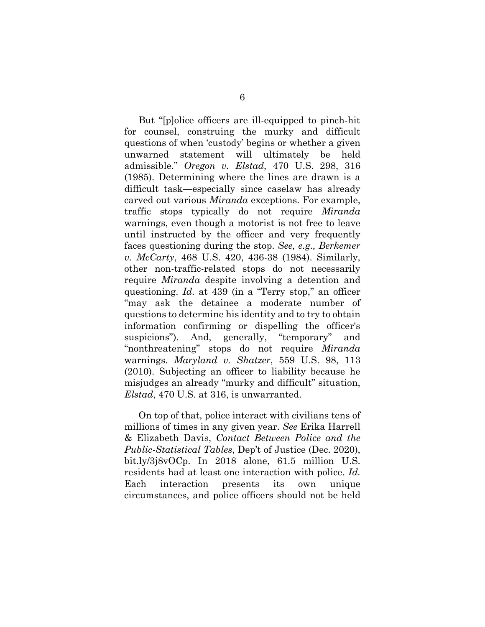But "[p]olice officers are ill-equipped to pinch-hit for counsel, construing the murky and difficult questions of when 'custody' begins or whether a given unwarned statement will ultimately be held admissible." *Oregon v. Elstad*, 470 U.S. 298, 316 (1985). Determining where the lines are drawn is a difficult task—especially since caselaw has already carved out various *Miranda* exceptions. For example, traffic stops typically do not require *Miranda* warnings, even though a motorist is not free to leave until instructed by the officer and very frequently faces questioning during the stop. *See, e.g., Berkemer v. McCarty*, 468 U.S. 420, 436-38 (1984). Similarly, other non-traffic-related stops do not necessarily require *Miranda* despite involving a detention and questioning. *Id.* at 439 (in a "Terry stop," an officer "may ask the detainee a moderate number of questions to determine his identity and to try to obtain information confirming or dispelling the officer's suspicions"). And, generally, "temporary" and "nonthreatening" stops do not require *Miranda* warnings. *Maryland v. Shatzer*, 559 U.S. 98, 113 (2010). Subjecting an officer to liability because he misjudges an already "murky and difficult" situation, *Elstad*, 470 U.S. at 316, is unwarranted.

On top of that, police interact with civilians tens of millions of times in any given year. *See* Erika Harrell & Elizabeth Davis, *Contact Between Police and the Public-Statistical Tables*, Dep't of Justice (Dec. 2020), bit.ly/3j8vOCp. In 2018 alone, 61.5 million U.S. residents had at least one interaction with police. *Id.* Each interaction presents its own unique circumstances, and police officers should not be held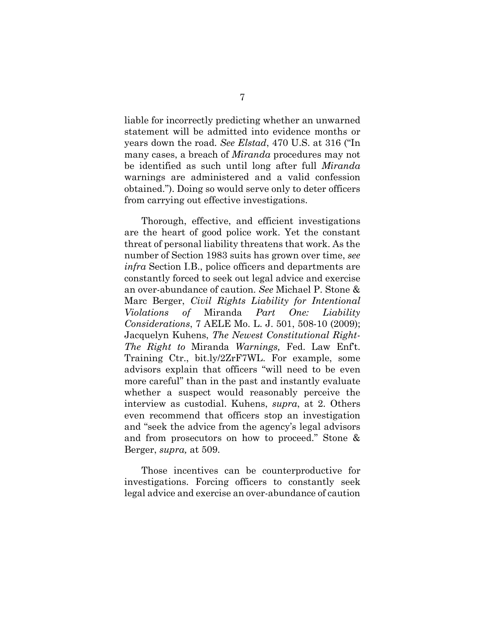liable for incorrectly predicting whether an unwarned statement will be admitted into evidence months or years down the road. *See Elstad*, 470 U.S. at 316 ("In many cases, a breach of *Miranda* procedures may not be identified as such until long after full *Miranda* warnings are administered and a valid confession obtained."). Doing so would serve only to deter officers from carrying out effective investigations.

Thorough, effective, and efficient investigations are the heart of good police work. Yet the constant threat of personal liability threatens that work. As the number of Section 1983 suits has grown over time, *see infra* Section I.B., police officers and departments are constantly forced to seek out legal advice and exercise an over-abundance of caution. *See* Michael P. Stone & Marc Berger, *Civil Rights Liability for Intentional Violations of* Miranda *Part One: Liability Considerations*, 7 AELE Mo. L. J. 501, 508-10 (2009); Jacquelyn Kuhens, *The Newest Constitutional Right-The Right to* Miranda *Warnings,* Fed. Law Enf't. Training Ctr., bit.ly/2ZrF7WL. For example, some advisors explain that officers "will need to be even more careful" than in the past and instantly evaluate whether a suspect would reasonably perceive the interview as custodial. Kuhens, *supra*, at 2. Others even recommend that officers stop an investigation and "seek the advice from the agency's legal advisors and from prosecutors on how to proceed." Stone & Berger, *supra,* at 509.

Those incentives can be counterproductive for investigations. Forcing officers to constantly seek legal advice and exercise an over-abundance of caution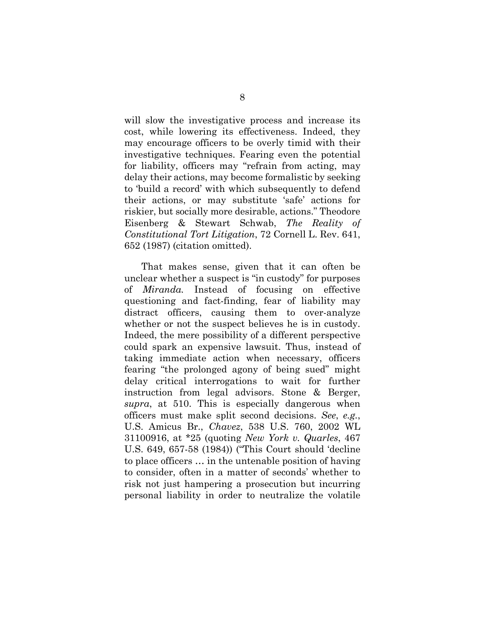will slow the investigative process and increase its cost, while lowering its effectiveness. Indeed, they may encourage officers to be overly timid with their investigative techniques. Fearing even the potential for liability, officers may "refrain from acting, may delay their actions, may become formalistic by seeking to 'build a record' with which subsequently to defend their actions, or may substitute 'safe' actions for riskier, but socially more desirable, actions." Theodore Eisenberg & Stewart Schwab, *The Reality of Constitutional Tort Litigation*, 72 Cornell L. Rev. 641, 652 (1987) (citation omitted).

That makes sense, given that it can often be unclear whether a suspect is "in custody" for purposes of *Miranda.* Instead of focusing on effective questioning and fact-finding, fear of liability may distract officers, causing them to over-analyze whether or not the suspect believes he is in custody. Indeed, the mere possibility of a different perspective could spark an expensive lawsuit. Thus, instead of taking immediate action when necessary, officers fearing "the prolonged agony of being sued" might delay critical interrogations to wait for further instruction from legal advisors. Stone & Berger, *supra*, at 510. This is especially dangerous when officers must make split second decisions. *See*, *e.g.*, U.S. Amicus Br., *Chavez*, 538 U.S. 760, 2002 WL 31100916, at \*25 (quoting *New York v. Quarles*, 467 U.S. 649, 657-58 (1984)) ("This Court should 'decline to place officers … in the untenable position of having to consider, often in a matter of seconds' whether to risk not just hampering a prosecution but incurring personal liability in order to neutralize the volatile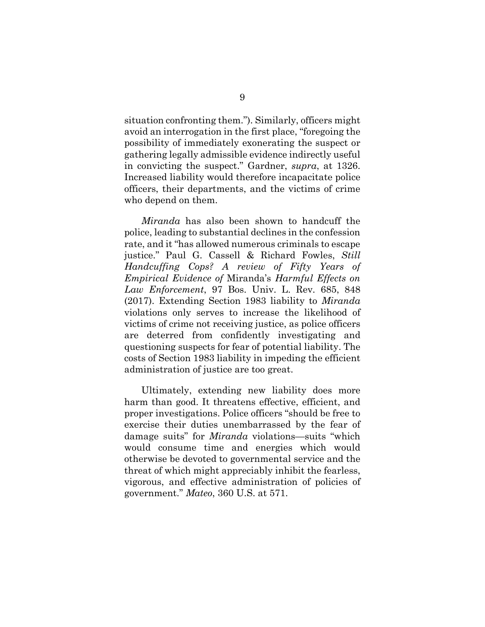situation confronting them."). Similarly, officers might avoid an interrogation in the first place, "foregoing the possibility of immediately exonerating the suspect or gathering legally admissible evidence indirectly useful in convicting the suspect." Gardner, *supra*, at 1326. Increased liability would therefore incapacitate police officers, their departments, and the victims of crime who depend on them.

*Miranda* has also been shown to handcuff the police, leading to substantial declines in the confession rate, and it "has allowed numerous criminals to escape justice." Paul G. Cassell & Richard Fowles, *Still Handcuffing Cops? A review of Fifty Years of Empirical Evidence of* Miranda's *Harmful Effects on Law Enforcement*, 97 Bos. Univ. L. Rev. 685, 848 (2017). Extending Section 1983 liability to *Miranda*  violations only serves to increase the likelihood of victims of crime not receiving justice, as police officers are deterred from confidently investigating and questioning suspects for fear of potential liability. The costs of Section 1983 liability in impeding the efficient administration of justice are too great.

Ultimately, extending new liability does more harm than good. It threatens effective, efficient, and proper investigations. Police officers "should be free to exercise their duties unembarrassed by the fear of damage suits" for *Miranda* violations—suits "which would consume time and energies which would otherwise be devoted to governmental service and the threat of which might appreciably inhibit the fearless, vigorous, and effective administration of policies of government." *Mateo*, 360 U.S. at 571.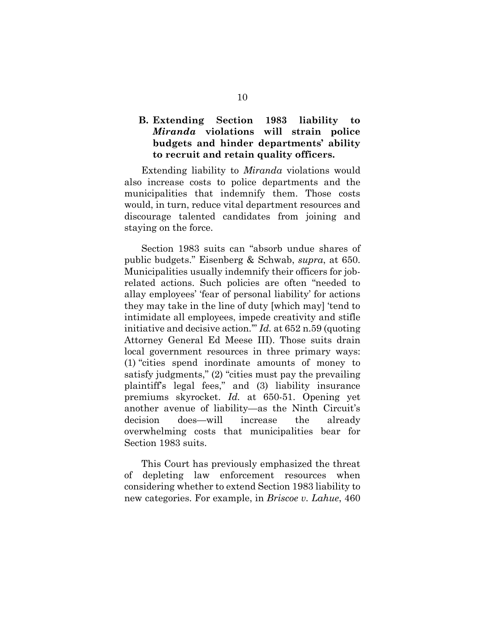#### **B. Extending Section 1983 liability to**  *Miranda* **violations will strain police budgets and hinder departments' ability to recruit and retain quality officers.**

Extending liability to *Miranda* violations would also increase costs to police departments and the municipalities that indemnify them. Those costs would, in turn, reduce vital department resources and discourage talented candidates from joining and staying on the force.

Section 1983 suits can "absorb undue shares of public budgets." Eisenberg & Schwab, *supra*, at 650. Municipalities usually indemnify their officers for jobrelated actions. Such policies are often "needed to allay employees' 'fear of personal liability' for actions they may take in the line of duty [which may] 'tend to intimidate all employees, impede creativity and stifle initiative and decisive action.'" *Id.* at 652 n.59 (quoting Attorney General Ed Meese III). Those suits drain local government resources in three primary ways: (1) "cities spend inordinate amounts of money to satisfy judgments," (2) "cities must pay the prevailing plaintiff's legal fees," and (3) liability insurance premiums skyrocket. *Id.* at 650-51. Opening yet another avenue of liability—as the Ninth Circuit's decision does—will increase the already overwhelming costs that municipalities bear for Section 1983 suits.

This Court has previously emphasized the threat of depleting law enforcement resources when considering whether to extend Section 1983 liability to new categories. For example, in *Briscoe v. Lahue*, 460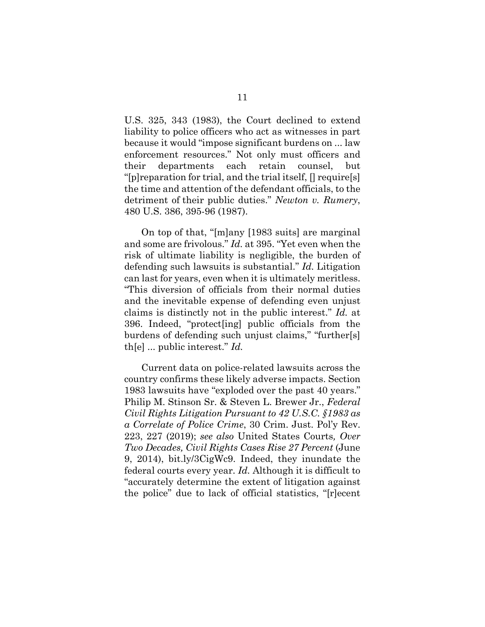U.S. 325, 343 (1983), the Court declined to extend liability to police officers who act as witnesses in part because it would "impose significant burdens on ... law enforcement resources." Not only must officers and their departments each retain counsel, but "[p]reparation for trial, and the trial itself, [] require[s] the time and attention of the defendant officials, to the detriment of their public duties." *Newton v. Rumery*, 480 U.S. 386, 395-96 (1987).

On top of that, "[m]any [1983 suits] are marginal and some are frivolous." *Id.* at 395. "Yet even when the risk of ultimate liability is negligible, the burden of defending such lawsuits is substantial." *Id.* Litigation can last for years, even when it is ultimately meritless. "This diversion of officials from their normal duties and the inevitable expense of defending even unjust claims is distinctly not in the public interest." *Id.* at 396. Indeed, "protect[ing] public officials from the burdens of defending such unjust claims," "further[s] th[e] ... public interest." *Id.*

Current data on police-related lawsuits across the country confirms these likely adverse impacts. Section 1983 lawsuits have "exploded over the past 40 years." Philip M. Stinson Sr. & Steven L. Brewer Jr., *Federal Civil Rights Litigation Pursuant to 42 U.S.C. §1983 as a Correlate of Police Crime*, 30 Crim. Just. Pol'y Rev. 223, 227 (2019); *see also* United States Courts*, Over Two Decades, Civil Rights Cases Rise 27 Percent* (June 9, 2014), bit.ly/3CigWc9. Indeed, they inundate the federal courts every year. *Id.* Although it is difficult to "accurately determine the extent of litigation against the police" due to lack of official statistics, "[r]ecent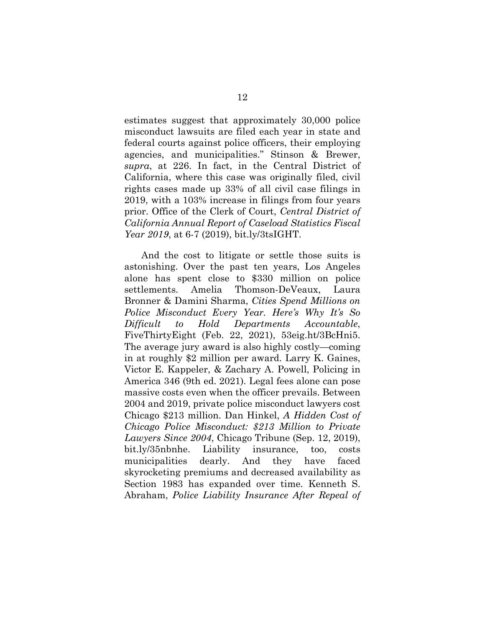estimates suggest that approximately 30,000 police misconduct lawsuits are filed each year in state and federal courts against police officers, their employing agencies, and municipalities." Stinson & Brewer, *supra*, at 226. In fact, in the Central District of California, where this case was originally filed, civil rights cases made up 33% of all civil case filings in 2019, with a 103% increase in filings from four years prior. Office of the Clerk of Court, *Central District of California Annual Report of Caseload Statistics Fiscal Year 2019*, at 6-7 (2019), bit.ly/3tsIGHT.

And the cost to litigate or settle those suits is astonishing. Over the past ten years, Los Angeles alone has spent close to \$330 million on police settlements. Amelia Thomson-DeVeaux, Laura Bronner & Damini Sharma, *Cities Spend Millions on Police Misconduct Every Year. Here's Why It's So Difficult to Hold Departments Accountable*, FiveThirtyEight (Feb. 22, 2021), 53eig.ht/3BcHni5. The average jury award is also highly costly—coming in at roughly \$2 million per award. Larry K. Gaines, Victor E. Kappeler, & Zachary A. Powell, Policing in America 346 (9th ed. 2021). Legal fees alone can pose massive costs even when the officer prevails. Between 2004 and 2019, private police misconduct lawyers cost Chicago \$213 million. Dan Hinkel, *A Hidden Cost of Chicago Police Misconduct: \$213 Million to Private Lawyers Since 2004*, Chicago Tribune (Sep. 12, 2019), bit.ly/35nbnhe. Liability insurance, too, costs municipalities dearly. And they have faced skyrocketing premiums and decreased availability as Section 1983 has expanded over time. Kenneth S. Abraham, *Police Liability Insurance After Repeal of*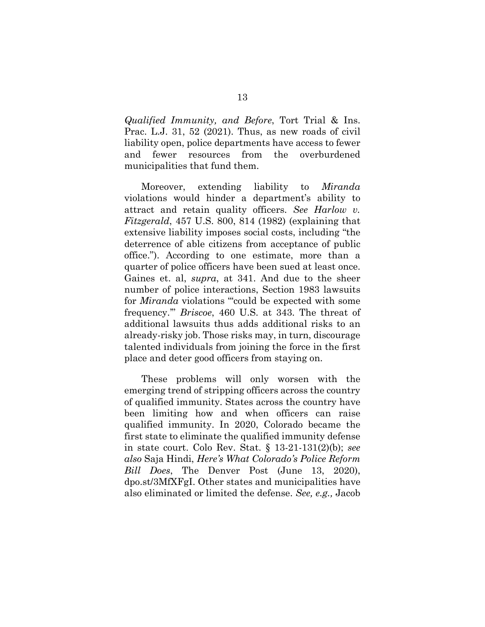*Qualified Immunity, and Before*, Tort Trial & Ins. Prac. L.J. 31, 52 (2021). Thus, as new roads of civil liability open, police departments have access to fewer and fewer resources from the overburdened municipalities that fund them.

Moreover, extending liability to *Miranda* violations would hinder a department's ability to attract and retain quality officers. *See Harlow v. Fitzgerald*, 457 U.S. 800, 814 (1982) (explaining that extensive liability imposes social costs, including "the deterrence of able citizens from acceptance of public office."). According to one estimate, more than a quarter of police officers have been sued at least once. Gaines et. al, *supra*, at 341. And due to the sheer number of police interactions, Section 1983 lawsuits for *Miranda* violations "could be expected with some frequency.'" *Briscoe*, 460 U.S. at 343. The threat of additional lawsuits thus adds additional risks to an already-risky job. Those risks may, in turn, discourage talented individuals from joining the force in the first place and deter good officers from staying on.

These problems will only worsen with the emerging trend of stripping officers across the country of qualified immunity. States across the country have been limiting how and when officers can raise qualified immunity. In 2020, Colorado became the first state to eliminate the qualified immunity defense in state court. Colo Rev. Stat. § 13-21-131(2)(b); *see also* Saja Hindi, *Here's What Colorado's Police Reform Bill Does*, The Denver Post (June 13, 2020), dpo.st/3MfXFgI. Other states and municipalities have also eliminated or limited the defense. *See, e.g.,* Jacob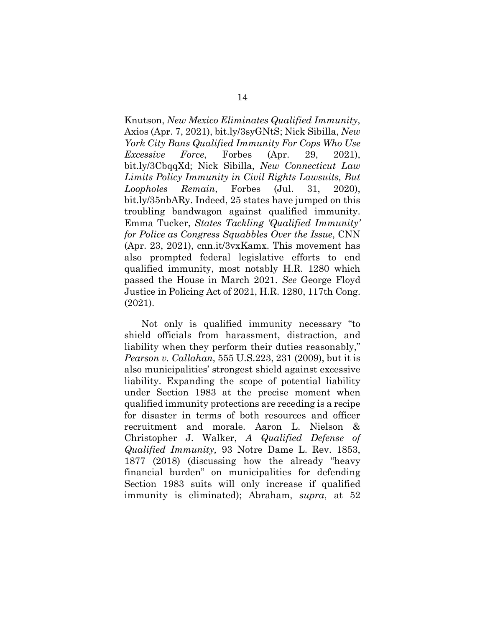Knutson, *New Mexico Eliminates Qualified Immunity*, Axios (Apr. 7, 2021), bit.ly/3syGNtS; Nick Sibilla, *New York City Bans Qualified Immunity For Cops Who Use Excessive Force*, Forbes (Apr. 29, 2021), bit.ly/3CbqqXd; Nick Sibilla, *New Connecticut Law Limits Policy Immunity in Civil Rights Lawsuits, But Loopholes Remain*, Forbes (Jul. 31, 2020), bit.ly/35nbARy. Indeed, 25 states have jumped on this troubling bandwagon against qualified immunity. Emma Tucker, *States Tackling 'Qualified Immunity' for Police as Congress Squabbles Over the Issue*, CNN (Apr. 23, 2021), cnn.it/3vxKamx. This movement has also prompted federal legislative efforts to end qualified immunity, most notably H.R. 1280 which passed the House in March 2021. *See* George Floyd Justice in Policing Act of 2021, H.R. 1280, 117th Cong. (2021).

Not only is qualified immunity necessary "to shield officials from harassment, distraction, and liability when they perform their duties reasonably," *Pearson v. Callahan*, 555 U.S.223, 231 (2009), but it is also municipalities' strongest shield against excessive liability. Expanding the scope of potential liability under Section 1983 at the precise moment when qualified immunity protections are receding is a recipe for disaster in terms of both resources and officer recruitment and morale. Aaron L. Nielson & Christopher J. Walker, *A Qualified Defense of Qualified Immunity,* 93 Notre Dame L. Rev. 1853, 1877 (2018) (discussing how the already "heavy financial burden" on municipalities for defending Section 1983 suits will only increase if qualified immunity is eliminated); Abraham, *supra*, at 52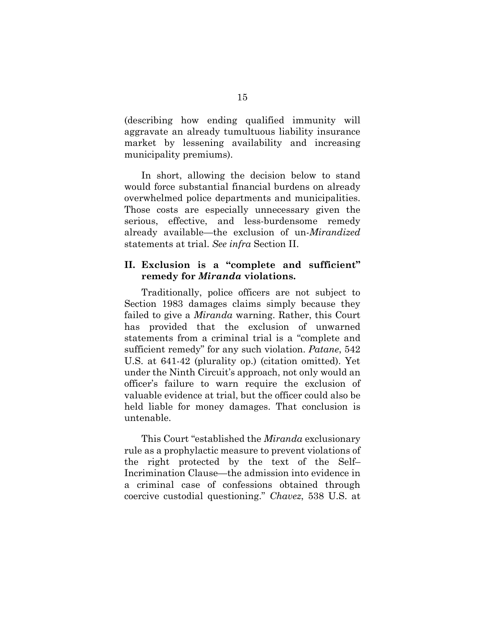(describing how ending qualified immunity will aggravate an already tumultuous liability insurance market by lessening availability and increasing municipality premiums).

In short, allowing the decision below to stand would force substantial financial burdens on already overwhelmed police departments and municipalities. Those costs are especially unnecessary given the serious, effective, and less-burdensome remedy already available—the exclusion of un-*Mirandized*  statements at trial. *See infra* Section II.

#### **II. Exclusion is a "complete and sufficient" remedy for** *Miranda* **violations.**

Traditionally, police officers are not subject to Section 1983 damages claims simply because they failed to give a *Miranda* warning. Rather, this Court has provided that the exclusion of unwarned statements from a criminal trial is a "complete and sufficient remedy" for any such violation. *Patane*, 542 U.S. at 641-42 (plurality op.) (citation omitted). Yet under the Ninth Circuit's approach, not only would an officer's failure to warn require the exclusion of valuable evidence at trial, but the officer could also be held liable for money damages. That conclusion is untenable.

This Court "established the *Miranda* exclusionary rule as a prophylactic measure to prevent violations of the right protected by the text of the Self– Incrimination Clause—the admission into evidence in a criminal case of confessions obtained through coercive custodial questioning." *Chavez*, 538 U.S. at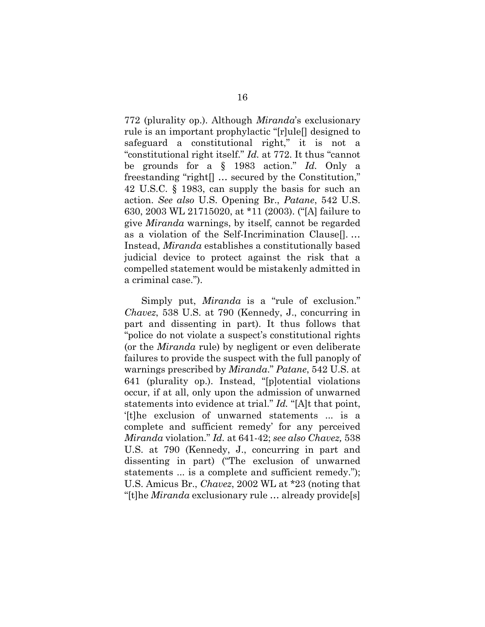772 (plurality op.). Although *Miranda*'s exclusionary rule is an important prophylactic "[r]ule[] designed to safeguard a constitutional right," it is not a "constitutional right itself." *Id.* at 772. It thus "cannot be grounds for a § 1983 action." *Id.* Only a freestanding "right[] … secured by the Constitution," 42 U.S.C. § 1983, can supply the basis for such an action. *See also* U.S. Opening Br., *Patane*, 542 U.S. 630, 2003 WL 21715020, at \*11 (2003). ("[A] failure to give *Miranda* warnings, by itself, cannot be regarded as a violation of the Self-Incrimination Clause[]. … Instead, *Miranda* establishes a constitutionally based judicial device to protect against the risk that a compelled statement would be mistakenly admitted in a criminal case.").

Simply put, *Miranda* is a "rule of exclusion." *Chavez*, 538 U.S. at 790 (Kennedy, J., concurring in part and dissenting in part). It thus follows that "police do not violate a suspect's constitutional rights (or the *Miranda* rule) by negligent or even deliberate failures to provide the suspect with the full panoply of warnings prescribed by *Miranda*." *Patane*, 542 U.S. at 641 (plurality op.). Instead, "[p]otential violations occur, if at all, only upon the admission of unwarned statements into evidence at trial." *Id.* "[A]t that point, '[t]he exclusion of unwarned statements ... is a complete and sufficient remedy' for any perceived *Miranda* violation." *Id.* at 641-42; *see also Chavez,* 538 U.S. at 790 (Kennedy, J., concurring in part and dissenting in part) ("The exclusion of unwarned statements ... is a complete and sufficient remedy."); U.S. Amicus Br., *Chavez*, 2002 WL at \*23 (noting that "[t]he *Miranda* exclusionary rule … already provide[s]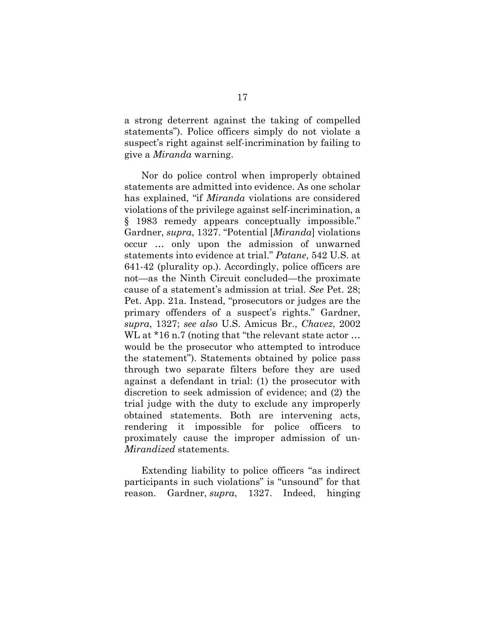a strong deterrent against the taking of compelled statements"). Police officers simply do not violate a suspect's right against self-incrimination by failing to give a *Miranda* warning.

Nor do police control when improperly obtained statements are admitted into evidence. As one scholar has explained, "if *Miranda* violations are considered violations of the privilege against self-incrimination, a § 1983 remedy appears conceptually impossible." Gardner, *supra*, 1327. "Potential [*Miranda*] violations occur … only upon the admission of unwarned statements into evidence at trial." *Patane*, 542 U.S. at 641-42 (plurality op.). Accordingly, police officers are not—as the Ninth Circuit concluded—the proximate cause of a statement's admission at trial. *See* Pet. 28; Pet. App. 21a. Instead, "prosecutors or judges are the primary offenders of a suspect's rights." Gardner, *supra*, 1327; *see also* U.S. Amicus Br., *Chavez*, 2002 WL at \*16 n.7 (noting that "the relevant state actor ... would be the prosecutor who attempted to introduce the statement"). Statements obtained by police pass through two separate filters before they are used against a defendant in trial: (1) the prosecutor with discretion to seek admission of evidence; and (2) the trial judge with the duty to exclude any improperly obtained statements. Both are intervening acts, rendering it impossible for police officers to proximately cause the improper admission of un-*Mirandized* statements.

Extending liability to police officers "as indirect participants in such violations" is "unsound" for that reason. Gardner, *supra*, 1327. Indeed, hinging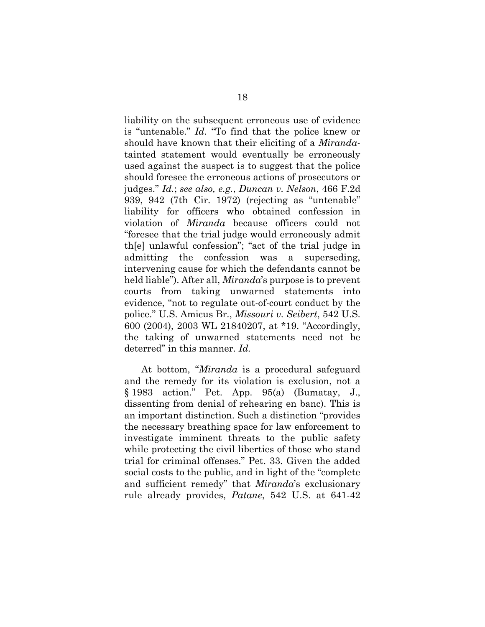liability on the subsequent erroneous use of evidence is "untenable." *Id.* "To find that the police knew or should have known that their eliciting of a *Miranda*tainted statement would eventually be erroneously used against the suspect is to suggest that the police should foresee the erroneous actions of prosecutors or judges." *Id.*; *see also, e.g.*, *Duncan v. Nelson*, 466 F.2d 939, 942 (7th Cir. 1972) (rejecting as "untenable" liability for officers who obtained confession in violation of *Miranda* because officers could not "foresee that the trial judge would erroneously admit th[e] unlawful confession"; "act of the trial judge in admitting the confession was a superseding, intervening cause for which the defendants cannot be held liable"). After all, *Miranda*'s purpose is to prevent courts from taking unwarned statements into evidence, "not to regulate out-of-court conduct by the police." U.S. Amicus Br., *Missouri v. Seibert*, 542 U.S. 600 (2004), 2003 WL 21840207, at \*19. "Accordingly, the taking of unwarned statements need not be deterred" in this manner. *Id.*

At bottom, "*Miranda* is a procedural safeguard and the remedy for its violation is exclusion, not a § 1983 action." Pet. App. 95(a) (Bumatay, J., dissenting from denial of rehearing en banc). This is an important distinction. Such a distinction "provides the necessary breathing space for law enforcement to investigate imminent threats to the public safety while protecting the civil liberties of those who stand trial for criminal offenses." Pet. 33. Given the added social costs to the public, and in light of the "complete and sufficient remedy" that *Miranda*'s exclusionary rule already provides, *Patane*, 542 U.S. at 641-42